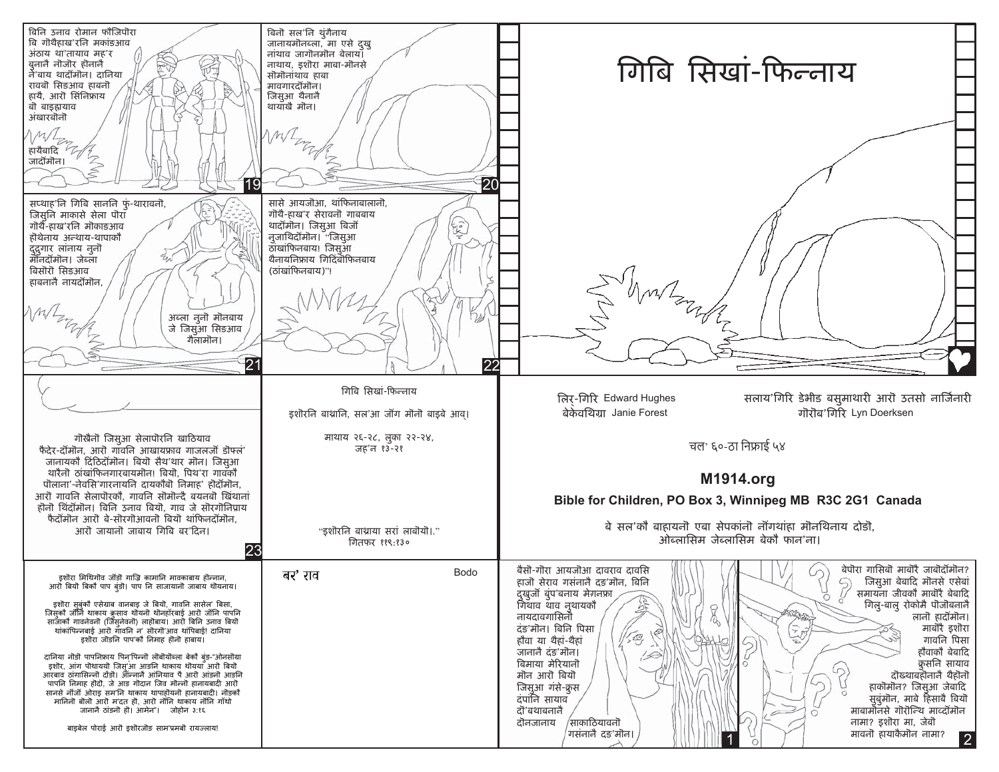